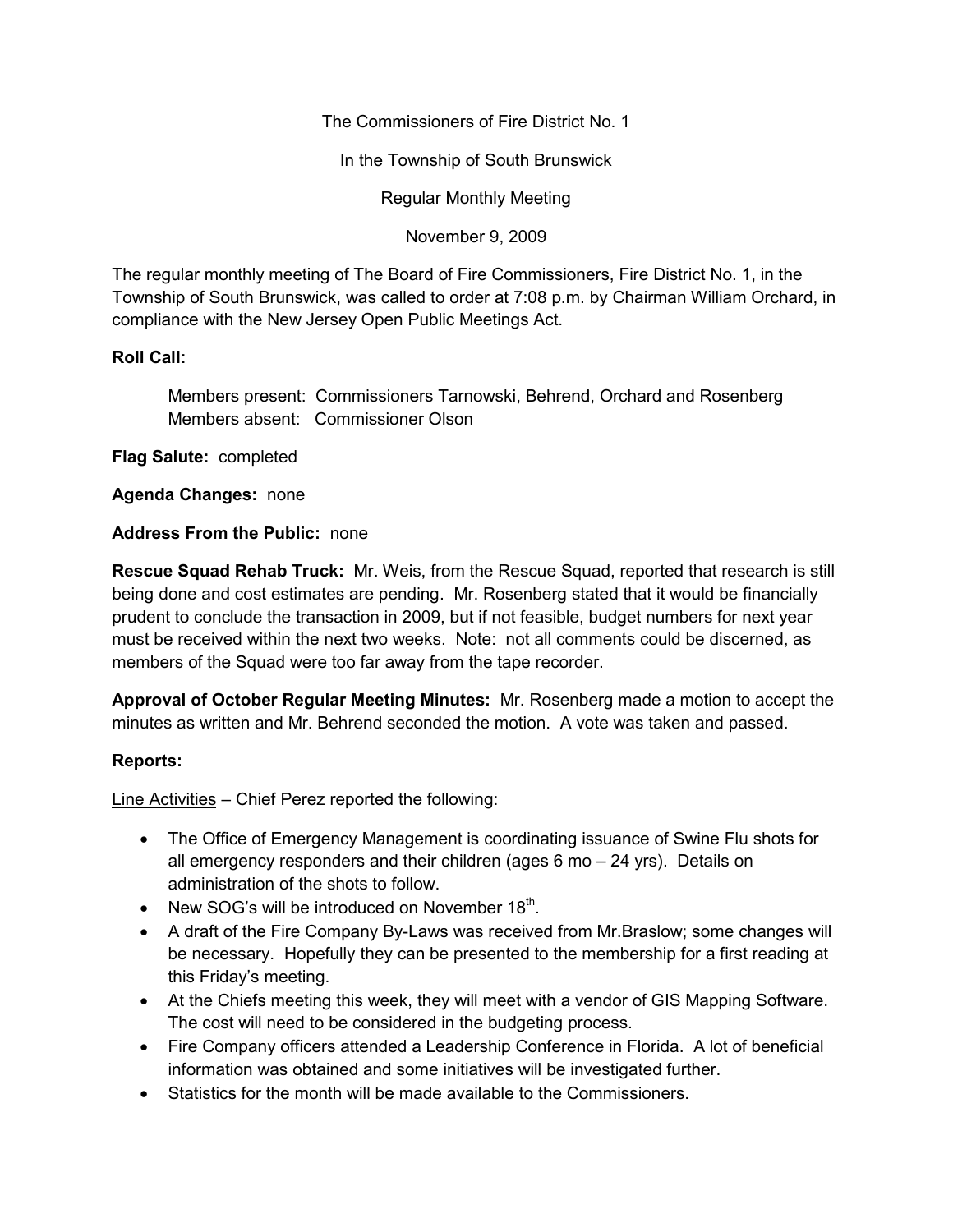The Commissioners of Fire District No. 1

In the Township of South Brunswick

Regular Monthly Meeting

November 9, 2009

The regular monthly meeting of The Board of Fire Commissioners, Fire District No. 1, in the Township of South Brunswick, was called to order at 7:08 p.m. by Chairman William Orchard, in compliance with the New Jersey Open Public Meetings Act.

# **Roll Call:**

Members present: Commissioners Tarnowski, Behrend, Orchard and Rosenberg Members absent: Commissioner Olson

**Flag Salute:** completed

**Agenda Changes:** none

# **Address From the Public:** none

**Rescue Squad Rehab Truck:** Mr. Weis, from the Rescue Squad, reported that research is still being done and cost estimates are pending. Mr. Rosenberg stated that it would be financially prudent to conclude the transaction in 2009, but if not feasible, budget numbers for next year must be received within the next two weeks. Note: not all comments could be discerned, as members of the Squad were too far away from the tape recorder.

**Approval of October Regular Meeting Minutes:** Mr. Rosenberg made a motion to accept the minutes as written and Mr. Behrend seconded the motion. A vote was taken and passed.

# **Reports:**

Line Activities – Chief Perez reported the following:

- The Office of Emergency Management is coordinating issuance of Swine Flu shots for all emergency responders and their children (ages 6 mo – 24 yrs). Details on administration of the shots to follow.
- New SOG's will be introduced on November 18 $^{\text{th}}$ .
- A draft of the Fire Company By-Laws was received from Mr.Braslow; some changes will be necessary. Hopefully they can be presented to the membership for a first reading at this Friday's meeting.
- At the Chiefs meeting this week, they will meet with a vendor of GIS Mapping Software. The cost will need to be considered in the budgeting process.
- Fire Company officers attended a Leadership Conference in Florida. A lot of beneficial information was obtained and some initiatives will be investigated further.
- Statistics for the month will be made available to the Commissioners.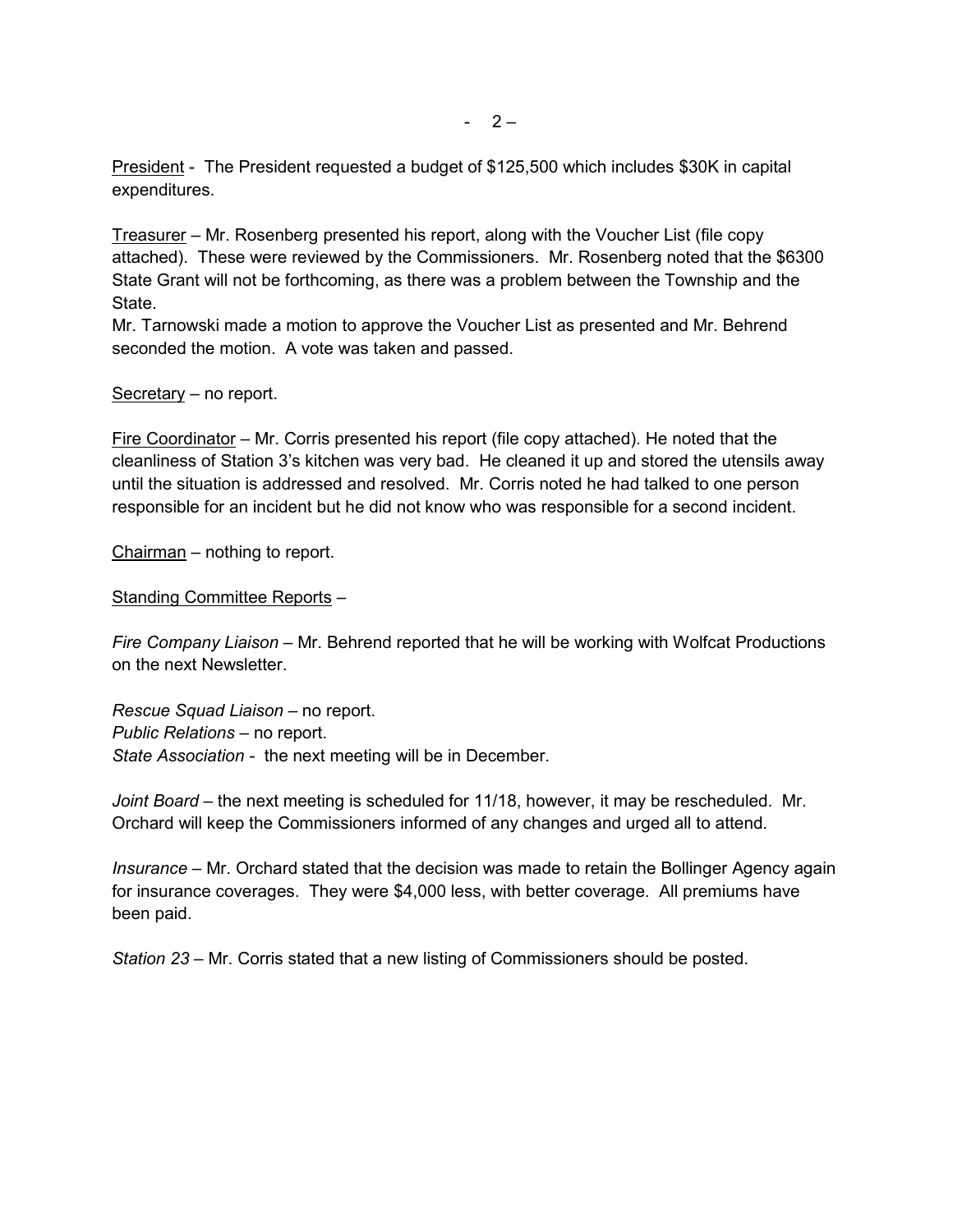President - The President requested a budget of \$125,500 which includes \$30K in capital expenditures.

Treasurer – Mr. Rosenberg presented his report, along with the Voucher List (file copy attached). These were reviewed by the Commissioners. Mr. Rosenberg noted that the \$6300 State Grant will not be forthcoming, as there was a problem between the Township and the State.

Mr. Tarnowski made a motion to approve the Voucher List as presented and Mr. Behrend seconded the motion. A vote was taken and passed.

#### Secretary – no report.

Fire Coordinator – Mr. Corris presented his report (file copy attached). He noted that the cleanliness of Station 3's kitchen was very bad. He cleaned it up and stored the utensils away until the situation is addressed and resolved. Mr. Corris noted he had talked to one person responsible for an incident but he did not know who was responsible for a second incident.

Chairman – nothing to report.

Standing Committee Reports –

*Fire Company Liaison –* Mr. Behrend reported that he will be working with Wolfcat Productions on the next Newsletter.

*Rescue Squad Liaison –* no report. *Public Relations –* no report. *State Association -* the next meeting will be in December.

*Joint Board –* the next meeting is scheduled for 11/18, however, it may be rescheduled. Mr. Orchard will keep the Commissioners informed of any changes and urged all to attend.

*Insurance –* Mr. Orchard stated that the decision was made to retain the Bollinger Agency again for insurance coverages. They were \$4,000 less, with better coverage. All premiums have been paid.

*Station 23 –* Mr. Corris stated that a new listing of Commissioners should be posted.